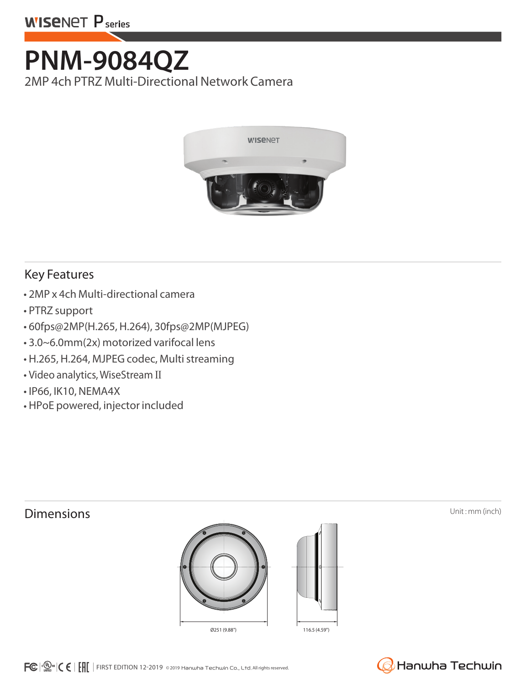## **PNM-9084QZ**

2MP 4ch PTRZ Multi-Directional Network Camera



## Key Features

- 2MP x 4ch Multi-directional camera
- PTRZ support
- 60fps@2MP(H.265, H.264), 30fps@2MP(MJPEG)
- 3.0~6.0mm(2x) motorized varifocal lens
- H.265, H.264, MJPEG codec, Multi streaming
- Video analytics, WiseStream Ⅱ
- IP66, IK10, NEMA4X
- HPoE powered, injector included





 $FC \cdot \mathbb{C}$   $\cdot$   $\mathbb{C}$   $\mathsf{H}$   $\mathsf{H}$  FIRST EDITION 12-2019 © 2019 Hanwha Techwin Co., Ltd. All rights reserved.

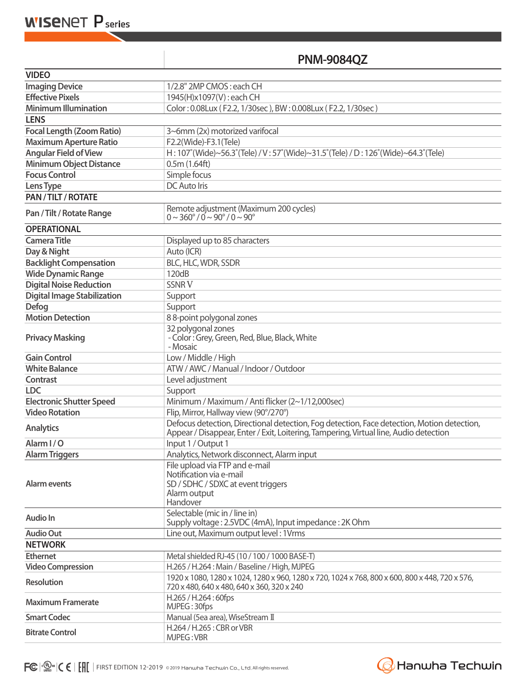| <b>PNM-9084QZ</b> |  |
|-------------------|--|
|-------------------|--|

| <b>VIDEO</b>                       |                                                                                                                                                                                     |  |
|------------------------------------|-------------------------------------------------------------------------------------------------------------------------------------------------------------------------------------|--|
| <b>Imaging Device</b>              | 1/2.8" 2MP CMOS: each CH                                                                                                                                                            |  |
| <b>Effective Pixels</b>            | 1945(H)x1097(V): each CH                                                                                                                                                            |  |
| <b>Minimum Illumination</b>        | Color: 0.08Lux (F2.2, 1/30sec), BW: 0.008Lux (F2.2, 1/30sec)                                                                                                                        |  |
| <b>LENS</b>                        |                                                                                                                                                                                     |  |
| <b>Focal Length (Zoom Ratio)</b>   | 3~6mm (2x) motorized varifocal                                                                                                                                                      |  |
| <b>Maximum Aperture Ratio</b>      | F2.2(Wide)-F3.1(Tele)                                                                                                                                                               |  |
| <b>Angular Field of View</b>       | H: 107° (Wide)~56.3° (Tele) / V: 57° (Wide)~31.5° (Tele) / D: 126° (Wide)~64.3° (Tele)                                                                                              |  |
| <b>Minimum Object Distance</b>     | 0.5m(1.64ft)                                                                                                                                                                        |  |
| <b>Focus Control</b>               | Simple focus                                                                                                                                                                        |  |
| Lens Type                          | <b>DC</b> Auto Iris                                                                                                                                                                 |  |
| <b>PAN/TILT/ROTATE</b>             |                                                                                                                                                                                     |  |
| Pan / Tilt / Rotate Range          | Remote adjustment (Maximum 200 cycles)<br>$0 \sim 360^{\circ}$ / $0 \sim 90^{\circ}$ / $0 \sim 90^{\circ}$                                                                          |  |
| <b>OPERATIONAL</b>                 |                                                                                                                                                                                     |  |
| <b>Camera Title</b>                | Displayed up to 85 characters                                                                                                                                                       |  |
| Day & Night                        | Auto (ICR)                                                                                                                                                                          |  |
| <b>Backlight Compensation</b>      | BLC, HLC, WDR, SSDR                                                                                                                                                                 |  |
| <b>Wide Dynamic Range</b>          | 120dB                                                                                                                                                                               |  |
| <b>Digital Noise Reduction</b>     | <b>SSNRV</b>                                                                                                                                                                        |  |
| <b>Digital Image Stabilization</b> | Support                                                                                                                                                                             |  |
| <b>Defog</b>                       | Support                                                                                                                                                                             |  |
| <b>Motion Detection</b>            | 88-point polygonal zones                                                                                                                                                            |  |
| <b>Privacy Masking</b>             | 32 polygonal zones<br>- Color: Grey, Green, Red, Blue, Black, White<br>- Mosaic                                                                                                     |  |
| <b>Gain Control</b>                | Low / Middle / High                                                                                                                                                                 |  |
| <b>White Balance</b>               | ATW / AWC / Manual / Indoor / Outdoor                                                                                                                                               |  |
| <b>Contrast</b>                    | Level adjustment                                                                                                                                                                    |  |
| <b>LDC</b>                         | Support                                                                                                                                                                             |  |
| <b>Electronic Shutter Speed</b>    | Minimum / Maximum / Anti flicker (2~1/12,000sec)                                                                                                                                    |  |
| <b>Video Rotation</b>              | Flip, Mirror, Hallway view (90°/270°)                                                                                                                                               |  |
| <b>Analytics</b>                   | Defocus detection, Directional detection, Fog detection, Face detection, Motion detection,<br>Appear / Disappear, Enter / Exit, Loitering, Tampering, Virtual line, Audio detection |  |
| Alarm I/O                          | Input 1 / Output 1                                                                                                                                                                  |  |
| <b>Alarm Triggers</b>              | Analytics, Network disconnect, Alarm input                                                                                                                                          |  |
| Alarm events                       | File upload via FTP and e-mail<br>Notification via e-mail<br>SD / SDHC / SDXC at event triggers<br>Alarm output<br>Handover                                                         |  |
| <b>Audio In</b>                    | Selectable (mic in / line in)<br>Supply voltage: 2.5VDC (4mA), Input impedance: 2K Ohm                                                                                              |  |
| <b>Audio Out</b>                   | Line out, Maximum output level: 1Vrms                                                                                                                                               |  |
| <b>NETWORK</b>                     |                                                                                                                                                                                     |  |
| <b>Ethernet</b>                    | Metal shielded RJ-45 (10 / 100 / 1000 BASE-T)                                                                                                                                       |  |
| <b>Video Compression</b>           | H.265 / H.264 : Main / Baseline / High, MJPEG                                                                                                                                       |  |
| <b>Resolution</b>                  | 1920 x 1080, 1280 x 1024, 1280 x 960, 1280 x 720, 1024 x 768, 800 x 600, 800 x 448, 720 x 576,<br>720 x 480, 640 x 480, 640 x 360, 320 x 240                                        |  |
| <b>Maximum Framerate</b>           | H.265 / H.264: 60fps<br>MJPEG: 30fps                                                                                                                                                |  |
| <b>Smart Codec</b>                 | Manual (5ea area), WiseStream II                                                                                                                                                    |  |
| <b>Bitrate Control</b>             | H.264 / H.265 : CBR or VBR<br>MJPEG: VBR                                                                                                                                            |  |